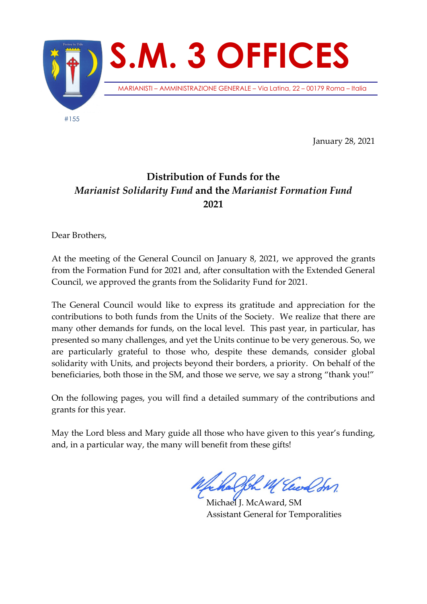

January 28, 2021

## **Distribution of Funds for the**  *Marianist Solidarity Fund* **and the** *Marianist Formation Fund* **2021**

Dear Brothers,

At the meeting of the General Council on January 8, 2021, we approved the grants from the Formation Fund for 2021 and, after consultation with the Extended General Council, we approved the grants from the Solidarity Fund for 2021.

The General Council would like to express its gratitude and appreciation for the contributions to both funds from the Units of the Society. We realize that there are many other demands for funds, on the local level. This past year, in particular, has presented so many challenges, and yet the Units continue to be very generous. So, we are particularly grateful to those who, despite these demands, consider global solidarity with Units, and projects beyond their borders, a priority. On behalf of the beneficiaries, both those in the SM, and those we serve, we say a strong "thank you!"

On the following pages, you will find a detailed summary of the contributions and grants for this year.

May the Lord bless and Mary guide all those who have given to this year's funding, and, in a particular way, the many will benefit from these gifts!

Michael J. McAward, SM Assistant General for Temporalities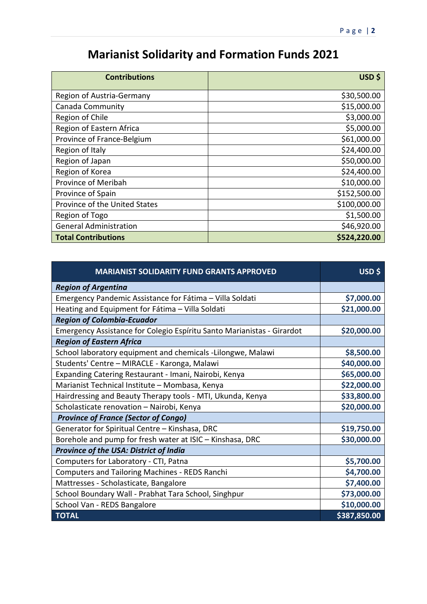## **Marianist Solidarity and Formation Funds 2021**

| <b>Contributions</b>          | USD \$       |
|-------------------------------|--------------|
| Region of Austria-Germany     | \$30,500.00  |
| Canada Community              | \$15,000.00  |
| Region of Chile               | \$3,000.00   |
| Region of Eastern Africa      | \$5,000.00   |
| Province of France-Belgium    | \$61,000.00  |
| Region of Italy               | \$24,400.00  |
| Region of Japan               | \$50,000.00  |
| Region of Korea               | \$24,400.00  |
| Province of Meribah           | \$10,000.00  |
| Province of Spain             | \$152,500.00 |
| Province of the United States | \$100,000.00 |
| Region of Togo                | \$1,500.00   |
| <b>General Administration</b> | \$46,920.00  |
| <b>Total Contributions</b>    | \$524,220.00 |

| <b>MARIANIST SOLIDARITY FUND GRANTS APPROVED</b>                       | USD \$       |
|------------------------------------------------------------------------|--------------|
| <b>Region of Argentina</b>                                             |              |
| Emergency Pandemic Assistance for Fátima - Villa Soldati               | \$7,000.00   |
| Heating and Equipment for Fátima - Villa Soldati                       | \$21,000.00  |
| <b>Region of Colombia-Ecuador</b>                                      |              |
| Emergency Assistance for Colegio Espíritu Santo Marianistas - Girardot | \$20,000.00  |
| <b>Region of Eastern Africa</b>                                        |              |
| School laboratory equipment and chemicals -Lilongwe, Malawi            | \$8,500.00   |
| Students' Centre - MIRACLE - Karonga, Malawi                           | \$40,000.00  |
| Expanding Catering Restaurant - Imani, Nairobi, Kenya                  | \$65,000.00  |
| Marianist Technical Institute - Mombasa, Kenya                         | \$22,000.00  |
| Hairdressing and Beauty Therapy tools - MTI, Ukunda, Kenya             | \$33,800.00  |
| Scholasticate renovation - Nairobi, Kenya                              | \$20,000.00  |
| <b>Province of France (Sector of Congo)</b>                            |              |
| Generator for Spiritual Centre - Kinshasa, DRC                         | \$19,750.00  |
| Borehole and pump for fresh water at ISIC - Kinshasa, DRC              | \$30,000.00  |
| Province of the USA: District of India                                 |              |
| Computers for Laboratory - CTI, Patna                                  | \$5,700.00   |
| <b>Computers and Tailoring Machines - REDS Ranchi</b>                  | \$4,700.00   |
| Mattresses - Scholasticate, Bangalore                                  | \$7,400.00   |
| School Boundary Wall - Prabhat Tara School, Singhpur                   | \$73,000.00  |
| School Van - REDS Bangalore                                            | \$10,000.00  |
| <b>TOTAL</b>                                                           | \$387,850.00 |